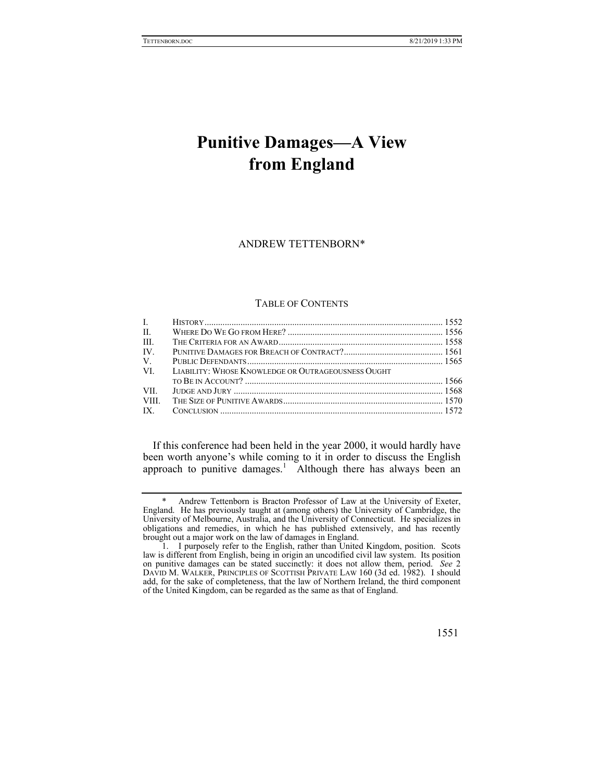# **Punitive Damages—A View from England**

## ANDREW TETTENBORN\*

# TABLE OF CONTENTS

| $\mathbf{L}$ |                                                    |  |
|--------------|----------------------------------------------------|--|
| $\Pi$ .      |                                                    |  |
| III.         |                                                    |  |
| IV.          |                                                    |  |
| $V_{\cdot}$  |                                                    |  |
| VI.          | LIABILITY: WHOSE KNOWLEDGE OR OUTRAGEOUSNESS OUGHT |  |
|              |                                                    |  |
| VII —        |                                                    |  |
| VIII.        |                                                    |  |
| IX.          |                                                    |  |

If this conference had been held in the year 2000, it would hardly have been worth anyone's while coming to it in order to discuss the English approach to punitive damages.<sup>1</sup> Although there has always been an

Andrew Tettenborn is Bracton Professor of Law at the University of Exeter, England. He has previously taught at (among others) the University of Cambridge, the University of Melbourne, Australia, and the University of Connecticut. He specializes in obligations and remedies, in which he has published extensively, and has recently brought out a major work on the law of damages in England.

 <sup>1.</sup> I purposely refer to the English, rather than United Kingdom, position. Scots law is different from English, being in origin an uncodified civil law system. Its position on punitive damages can be stated succinctly: it does not allow them, period. *See* 2 DAVID M. WALKER, PRINCIPLES OF SCOTTISH PRIVATE LAW 160 (3d ed. 1982). I should add, for the sake of completeness, that the law of Northern Ireland, the third component of the United Kingdom, can be regarded as the same as that of England.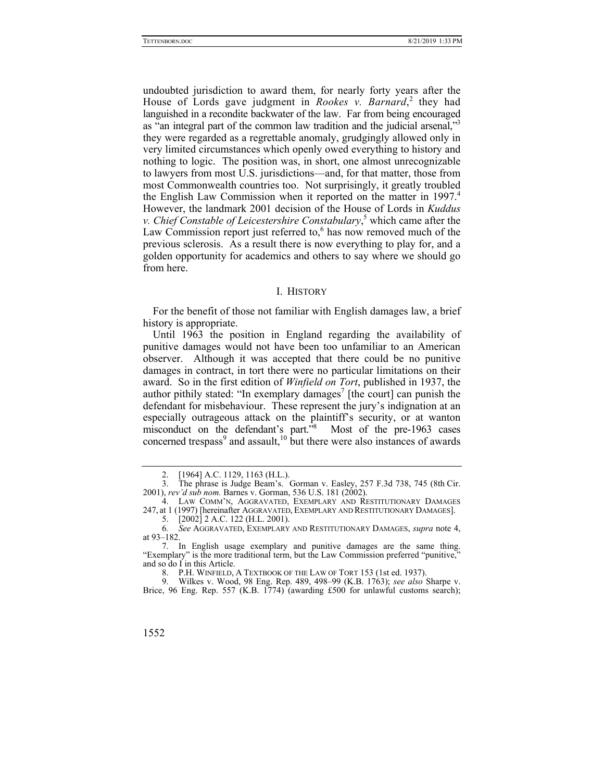undoubted jurisdiction to award them, for nearly forty years after the House of Lords gave judgment in *Rookes v. Barnard*,<sup>2</sup> they had languished in a recondite backwater of the law. Far from being encouraged as "an integral part of the common law tradition and the judicial arsenal,"<sup>3</sup> they were regarded as a regrettable anomaly, grudgingly allowed only in very limited circumstances which openly owed everything to history and nothing to logic. The position was, in short, one almost unrecognizable to lawyers from most U.S. jurisdictions—and, for that matter, those from most Commonwealth countries too. Not surprisingly, it greatly troubled the English Law Commission when it reported on the matter in 1997.<sup>4</sup> However, the landmark 2001 decision of the House of Lords in *Kuddus v. Chief Constable of Leicestershire Constabulary*, 5 which came after the Law Commission report just referred to, $6$  has now removed much of the previous sclerosis. As a result there is now everything to play for, and a golden opportunity for academics and others to say where we should go from here.

## I. HISTORY

For the benefit of those not familiar with English damages law, a brief history is appropriate.

Until 1963 the position in England regarding the availability of punitive damages would not have been too unfamiliar to an American observer. Although it was accepted that there could be no punitive damages in contract, in tort there were no particular limitations on their award. So in the first edition of *Winfield on Tort*, published in 1937, the author pithily stated: "In exemplary damages<sup>7</sup> [the court] can punish the defendant for misbehaviour. These represent the jury's indignation at an especially outrageous attack on the plaintiff's security, or at wanton misconduct on the defendant's part.<sup>38</sup> Most of the pre-1963 cases concerned trespass<sup>9</sup> and assault,<sup>10</sup> but there were also instances of awards

 <sup>2. [1964]</sup> A.C. 1129, 1163 (H.L.).

 <sup>3.</sup> The phrase is Judge Beam's. Gorman v. Easley, 257 F.3d 738, 745 (8th Cir. 2001), *rev'd sub nom.* Barnes v. Gorman, 536 U.S. 181 (2002).

 <sup>4.</sup> LAW COMM'N, AGGRAVATED, EXEMPLARY AND RESTITUTIONARY DAMAGES 247, at 1 (1997) [hereinafter AGGRAVATED, EXEMPLARY AND RESTITUTIONARY DAMAGES].

 <sup>5. [2002] 2</sup> A.C. 122 (H.L. 2001).

<sup>6</sup>*. See* AGGRAVATED, EXEMPLARY AND RESTITUTIONARY DAMAGES, *supra* note 4, at 93–182.

 <sup>7.</sup> In English usage exemplary and punitive damages are the same thing. "Exemplary" is the more traditional term, but the Law Commission preferred "punitive," and so do I in this Article.

 <sup>8.</sup> P.H. WINFIELD, A TEXTBOOK OF THE LAW OF TORT 153 (1st ed. 1937).

 <sup>9.</sup> Wilkes v. Wood, 98 Eng. Rep. 489, 498–99 (K.B. 1763); *see also* Sharpe v. Brice, 96 Eng. Rep. 557 (K.B. 1774) (awarding £500 for unlawful customs search);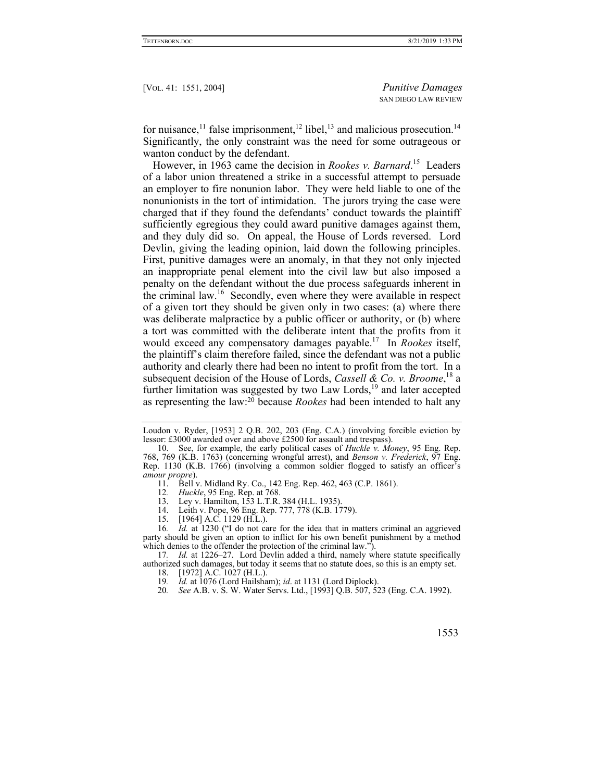for nuisance,<sup>11</sup> false imprisonment,<sup>12</sup> libel,<sup>13</sup> and malicious prosecution.<sup>14</sup> Significantly, the only constraint was the need for some outrageous or wanton conduct by the defendant.

However, in 1963 came the decision in *Rookes v. Barnard*. 15 Leaders of a labor union threatened a strike in a successful attempt to persuade an employer to fire nonunion labor. They were held liable to one of the nonunionists in the tort of intimidation. The jurors trying the case were charged that if they found the defendants' conduct towards the plaintiff sufficiently egregious they could award punitive damages against them, and they duly did so. On appeal, the House of Lords reversed. Lord Devlin, giving the leading opinion, laid down the following principles. First, punitive damages were an anomaly, in that they not only injected an inappropriate penal element into the civil law but also imposed a penalty on the defendant without the due process safeguards inherent in the criminal law.<sup>16</sup> Secondly, even where they were available in respect of a given tort they should be given only in two cases: (a) where there was deliberate malpractice by a public officer or authority, or (b) where a tort was committed with the deliberate intent that the profits from it would exceed any compensatory damages payable.17 In *Rookes* itself, the plaintiff's claim therefore failed, since the defendant was not a public authority and clearly there had been no intent to profit from the tort. In a subsequent decision of the House of Lords, *Cassell & Co. v. Broome*, 18 a further limitation was suggested by two Law Lords,<sup>19</sup> and later accepted as representing the law:20 because *Rookes* had been intended to halt any

- 13. Ley v. Hamilton, 153 L.T.R. 384 (H.L. 1935).
- 14. Leith v. Pope, 96 Eng. Rep. 777, 778 (K.B. 1779).<br>15. [1964] A.C. 1129 (H.L.).
- $[1964]$  A.C. 1129 (H.L.).

16*. Id.* at 1230 ("I do not care for the idea that in matters criminal an aggrieved party should be given an option to inflict for his own benefit punishment by a method which denies to the offender the protection of the criminal law.").

17*. Id.* at 1226–27. Lord Devlin added a third, namely where statute specifically authorized such damages, but today it seems that no statute does, so this is an empty set.

- 18. [1972] A.C. 1027 (H.L.).<br>19. *Id.* at 1076 (Lord Hailsha
- 19*. Id.* at 1076 (Lord Hailsham); *id*. at 1131 (Lord Diplock).
- 20*. See* A.B. v. S. W. Water Servs. Ltd., [1993] Q.B. 507, 523 (Eng. C.A. 1992).

Loudon v. Ryder, [1953] 2 Q.B. 202, 203 (Eng. C.A.) (involving forcible eviction by lessor: £3000 awarded over and above £2500 for assault and trespass).

 <sup>10.</sup> See, for example, the early political cases of *Huckle v. Money*, 95 Eng. Rep. 768, 769 (K.B. 1763) (concerning wrongful arrest), and *Benson v. Frederick*, 97 Eng. Rep. 1130 (K.B. 1766) (involving a common soldier flogged to satisfy an officer's *amour propre*).

<sup>11.</sup> Bell v. Midland Ry. Co., 142 Eng. Rep. 462, 463 (C.P. 1861).<br>12. Huckle, 95 Eng. Rep. at 768.

<sup>12</sup>*. Huckle*, 95 Eng. Rep. at 768.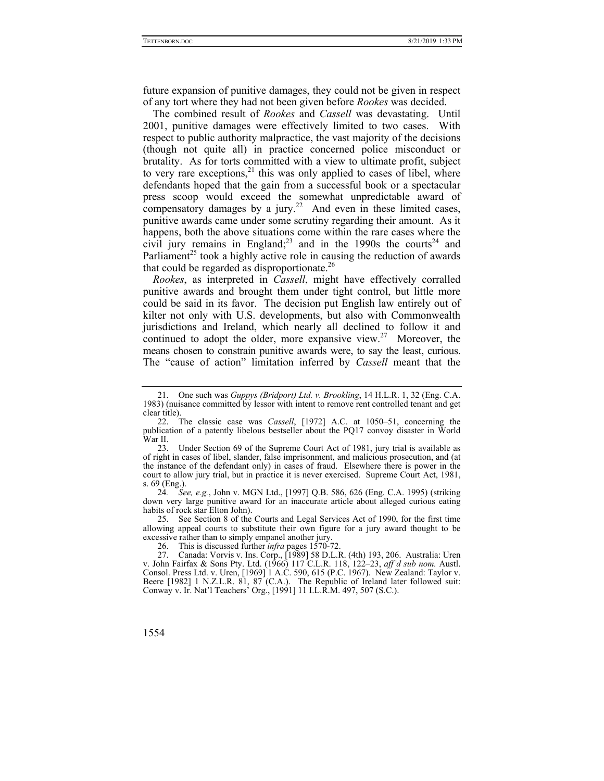future expansion of punitive damages, they could not be given in respect of any tort where they had not been given before *Rookes* was decided.

The combined result of *Rookes* and *Cassell* was devastating. Until 2001, punitive damages were effectively limited to two cases. With respect to public authority malpractice, the vast majority of the decisions (though not quite all) in practice concerned police misconduct or brutality. As for torts committed with a view to ultimate profit, subject to very rare exceptions, $^{21}$  this was only applied to cases of libel, where defendants hoped that the gain from a successful book or a spectacular press scoop would exceed the somewhat unpredictable award of compensatory damages by a jury.<sup>22</sup> And even in these limited cases, punitive awards came under some scrutiny regarding their amount. As it happens, both the above situations come within the rare cases where the civil jury remains in England;<sup>23</sup> and in the 1990s the courts<sup>24</sup> and Parliament<sup>25</sup> took a highly active role in causing the reduction of awards that could be regarded as disproportionate.<sup>26</sup>

*Rookes*, as interpreted in *Cassell*, might have effectively corralled punitive awards and brought them under tight control, but little more could be said in its favor. The decision put English law entirely out of kilter not only with U.S. developments, but also with Commonwealth jurisdictions and Ireland, which nearly all declined to follow it and continued to adopt the older, more expansive view.<sup>27</sup> Moreover, the means chosen to constrain punitive awards were, to say the least, curious. The "cause of action" limitation inferred by *Cassell* meant that the

 25. See Section 8 of the Courts and Legal Services Act of 1990, for the first time allowing appeal courts to substitute their own figure for a jury award thought to be excessive rather than to simply empanel another jury.

 <sup>21.</sup> One such was *Guppys (Bridport) Ltd. v. Brookling*, 14 H.L.R. 1, 32 (Eng. C.A. 1983) (nuisance committed by lessor with intent to remove rent controlled tenant and get clear title).

 <sup>22.</sup> The classic case was *Cassell*, [1972] A.C. at 1050–51, concerning the publication of a patently libelous bestseller about the PQ17 convoy disaster in World War II.

 <sup>23.</sup> Under Section 69 of the Supreme Court Act of 1981, jury trial is available as of right in cases of libel, slander, false imprisonment, and malicious prosecution, and (at the instance of the defendant only) in cases of fraud. Elsewhere there is power in the court to allow jury trial, but in practice it is never exercised. Supreme Court Act, 1981, s. 69 (Eng.).

<sup>24</sup>*. See, e.g.*, John v. MGN Ltd., [1997] Q.B. 586, 626 (Eng. C.A. 1995) (striking down very large punitive award for an inaccurate article about alleged curious eating habits of rock star Elton John).

 <sup>26.</sup> This is discussed further *infra* pages 1570-72.

 <sup>27.</sup> Canada: Vorvis v. Ins. Corp., [1989] 58 D.L.R. (4th) 193, 206. Australia: Uren v. John Fairfax & Sons Pty. Ltd. (1966) 117 C.L.R. 118, 122–23, *aff'd sub nom.* Austl. Consol. Press Ltd. v. Uren, [1969] 1 A.C. 590, 615 (P.C. 1967). New Zealand: Taylor v. Beere [1982] 1 N.Z.L.R. 81, 87 (C.A.). The Republic of Ireland later followed suit: Conway v. Ir. Nat'l Teachers' Org., [1991] 11 I.L.R.M. 497, 507 (S.C.).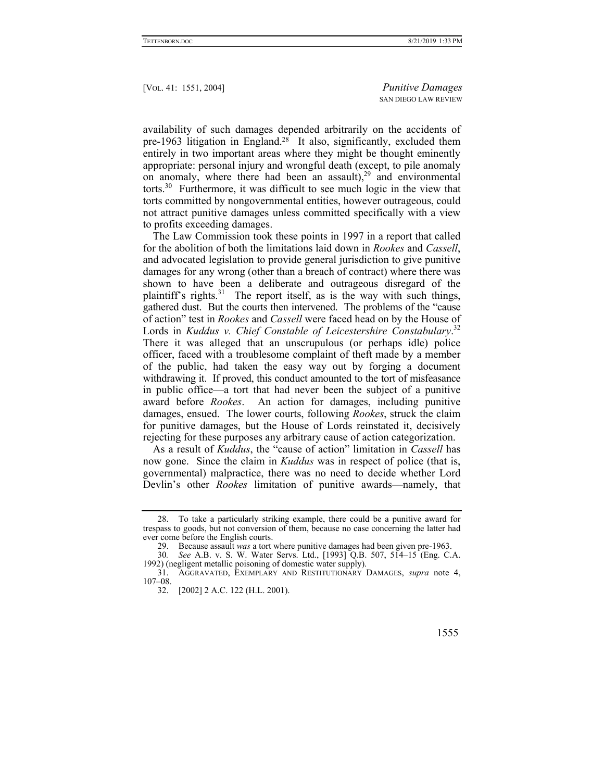availability of such damages depended arbitrarily on the accidents of pre-1963 litigation in England.<sup>28</sup> It also, significantly, excluded them entirely in two important areas where they might be thought eminently appropriate: personal injury and wrongful death (except, to pile anomaly on anomaly, where there had been an assault),  $29$  and environmental torts.<sup>30</sup> Furthermore, it was difficult to see much logic in the view that torts committed by nongovernmental entities, however outrageous, could not attract punitive damages unless committed specifically with a view to profits exceeding damages.

The Law Commission took these points in 1997 in a report that called for the abolition of both the limitations laid down in *Rookes* and *Cassell*, and advocated legislation to provide general jurisdiction to give punitive damages for any wrong (other than a breach of contract) where there was shown to have been a deliberate and outrageous disregard of the plaintiff's rights. $31$  The report itself, as is the way with such things, gathered dust. But the courts then intervened. The problems of the "cause of action" test in *Rookes* and *Cassell* were faced head on by the House of Lords in *Kuddus v. Chief Constable of Leicestershire Constabulary*. 32 There it was alleged that an unscrupulous (or perhaps idle) police officer, faced with a troublesome complaint of theft made by a member of the public, had taken the easy way out by forging a document withdrawing it. If proved, this conduct amounted to the tort of misfeasance in public office—a tort that had never been the subject of a punitive award before *Rookes*. An action for damages, including punitive damages, ensued. The lower courts, following *Rookes*, struck the claim for punitive damages, but the House of Lords reinstated it, decisively rejecting for these purposes any arbitrary cause of action categorization.

As a result of *Kuddus*, the "cause of action" limitation in *Cassell* has now gone. Since the claim in *Kuddus* was in respect of police (that is, governmental) malpractice, there was no need to decide whether Lord Devlin's other *Rookes* limitation of punitive awards—namely, that

 <sup>32. [2002] 2</sup> A.C. 122 (H.L. 2001).



 <sup>28.</sup> To take a particularly striking example, there could be a punitive award for trespass to goods, but not conversion of them, because no case concerning the latter had ever come before the English courts.

 <sup>29.</sup> Because assault *was* a tort where punitive damages had been given pre-1963.

<sup>30</sup>*. See* A.B. v. S. W. Water Servs. Ltd., [1993] Q.B. 507, 514–15 (Eng. C.A. 1992) (negligent metallic poisoning of domestic water supply).

 <sup>31.</sup> AGGRAVATED, EXEMPLARY AND RESTITUTIONARY DAMAGES, *supra* note 4, 107–08.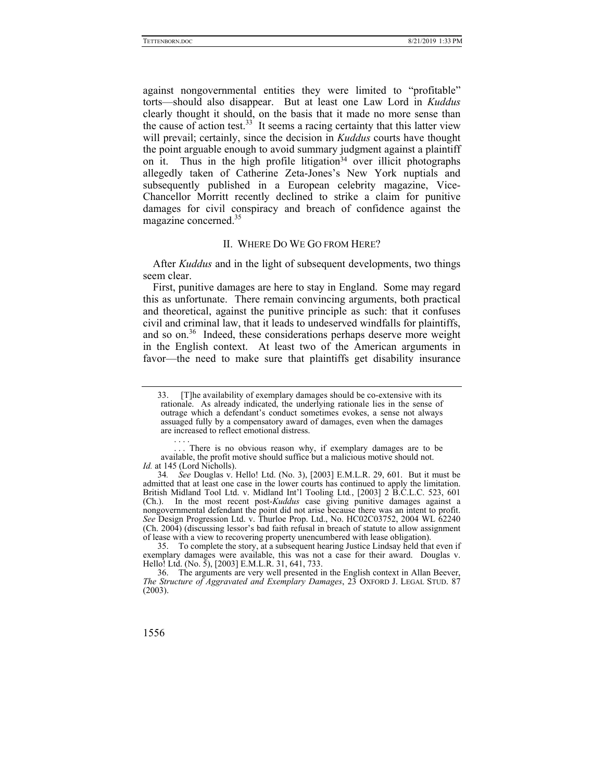against nongovernmental entities they were limited to "profitable" torts—should also disappear. But at least one Law Lord in *Kuddus* clearly thought it should, on the basis that it made no more sense than the cause of action test.<sup>33</sup> It seems a racing certainty that this latter view will prevail; certainly, since the decision in *Kuddus* courts have thought the point arguable enough to avoid summary judgment against a plaintiff on it. Thus in the high profile litigation<sup>34</sup> over illicit photographs allegedly taken of Catherine Zeta-Jones's New York nuptials and subsequently published in a European celebrity magazine, Vice-Chancellor Morritt recently declined to strike a claim for punitive damages for civil conspiracy and breach of confidence against the magazine concerned.35

### II. WHERE DO WE GO FROM HERE?

After *Kuddus* and in the light of subsequent developments, two things seem clear.

First, punitive damages are here to stay in England. Some may regard this as unfortunate. There remain convincing arguments, both practical and theoretical, against the punitive principle as such: that it confuses civil and criminal law, that it leads to undeserved windfalls for plaintiffs, and so on.<sup>36</sup> Indeed, these considerations perhaps deserve more weight in the English context. At least two of the American arguments in favor—the need to make sure that plaintiffs get disability insurance

 35. To complete the story, at a subsequent hearing Justice Lindsay held that even if exemplary damages were available, this was not a case for their award. Douglas v. Hello! Ltd. (No. 5), [2003] E.M.L.R. 31, 641, 733.

<sup>[</sup>T]he availability of exemplary damages should be co-extensive with its rationale. As already indicated, the underlying rationale lies in the sense of outrage which a defendant's conduct sometimes evokes, a sense not always assuaged fully by a compensatory award of damages, even when the damages are increased to reflect emotional distress.

 <sup>. . . .</sup>  There is no obvious reason why, if exemplary damages are to be available, the profit motive should suffice but a malicious motive should not. *Id.* at 145 (Lord Nicholls).

<sup>34</sup>*. See* Douglas v. Hello! Ltd. (No. 3), [2003] E.M.L.R. 29, 601. But it must be admitted that at least one case in the lower courts has continued to apply the limitation. British Midland Tool Ltd. v. Midland Int'l Tooling Ltd*.*, [2003] 2 B.C.L.C. 523, 601 (Ch.). In the most recent post-*Kuddus* case giving punitive damages against a nongovernmental defendant the point did not arise because there was an intent to profit. *See* Design Progression Ltd. v. Thurloe Prop. Ltd., No. HC02C03752, 2004 WL 62240 (Ch. 2004) (discussing lessor's bad faith refusal in breach of statute to allow assignment of lease with a view to recovering property unencumbered with lease obligation).

 <sup>36.</sup> The arguments are very well presented in the English context in Allan Beever, *The Structure of Aggravated and Exemplary Damages*, 23 OXFORD J. LEGAL STUD. 87 (2003).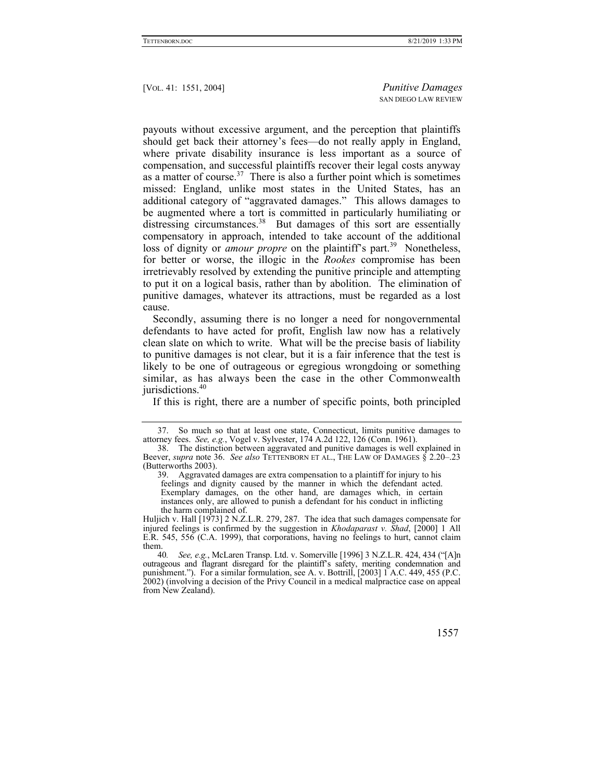payouts without excessive argument, and the perception that plaintiffs should get back their attorney's fees—do not really apply in England, where private disability insurance is less important as a source of compensation, and successful plaintiffs recover their legal costs anyway as a matter of course.<sup>37</sup> There is also a further point which is sometimes missed: England, unlike most states in the United States, has an additional category of "aggravated damages." This allows damages to be augmented where a tort is committed in particularly humiliating or distressing circumstances.<sup>38</sup> But damages of this sort are essentially compensatory in approach, intended to take account of the additional loss of dignity or *amour propre* on the plaintiff's part.<sup>39</sup> Nonetheless, for better or worse, the illogic in the *Rookes* compromise has been irretrievably resolved by extending the punitive principle and attempting to put it on a logical basis, rather than by abolition. The elimination of punitive damages, whatever its attractions, must be regarded as a lost cause.

Secondly, assuming there is no longer a need for nongovernmental defendants to have acted for profit, English law now has a relatively clean slate on which to write. What will be the precise basis of liability to punitive damages is not clear, but it is a fair inference that the test is likely to be one of outrageous or egregious wrongdoing or something similar, as has always been the case in the other Commonwealth jurisdictions.<sup>40</sup>

If this is right, there are a number of specific points, both principled

<sup>40</sup>*. See, e.g.*, McLaren Transp. Ltd. v. Somerville [1996] 3 N.Z.L.R. 424, 434 ("[A]n outrageous and flagrant disregard for the plaintiff's safety, meriting condemnation and punishment."). For a similar formulation, see A. v. Bottrill, [2003] I A.C. 449, 455 (P.C. 2002) (involving a decision of the Privy Council in a medical malpractice case on appeal from New Zealand).



 <sup>37.</sup> So much so that at least one state, Connecticut, limits punitive damages to attorney fees. *See, e.g.*, Vogel v. Sylvester, 174 A.2d 122, 126 (Conn. 1961).

 <sup>38.</sup> The distinction between aggravated and punitive damages is well explained in Beever, *supra* note 36. *See also* TETTENBORN ET AL., THE LAW OF DAMAGES § 2.20–.23 (Butterworths 2003).

 <sup>39.</sup> Aggravated damages are extra compensation to a plaintiff for injury to his feelings and dignity caused by the manner in which the defendant acted. Exemplary damages, on the other hand, are damages which, in certain instances only, are allowed to punish a defendant for his conduct in inflicting the harm complained of.

Huljich v. Hall [1973] 2 N.Z.L.R. 279, 287. The idea that such damages compensate for injured feelings is confirmed by the suggestion in *Khodaparast v. Shad*, [2000] 1 All E.R. 545, 556 (C.A. 1999), that corporations, having no feelings to hurt, cannot claim them.<br> $\frac{40}{ }$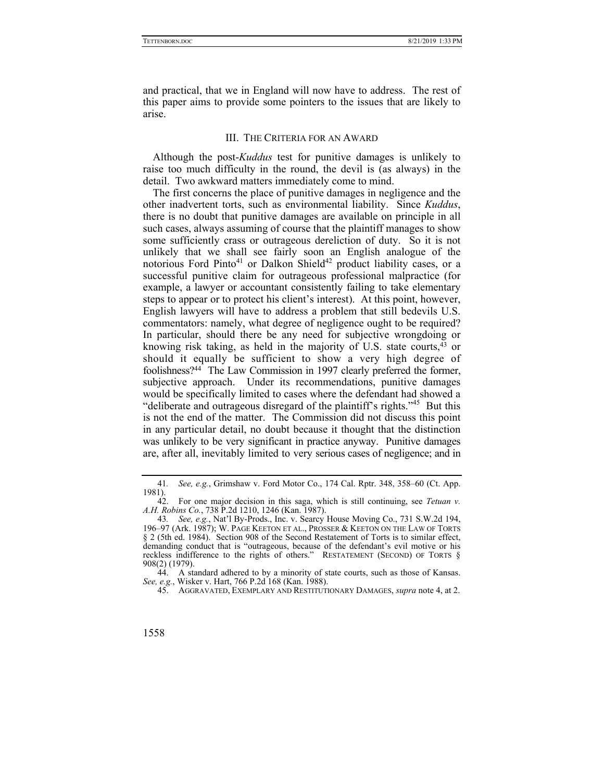and practical, that we in England will now have to address. The rest of this paper aims to provide some pointers to the issues that are likely to arise.

### III. THE CRITERIA FOR AN AWARD

Although the post-*Kuddus* test for punitive damages is unlikely to raise too much difficulty in the round, the devil is (as always) in the detail. Two awkward matters immediately come to mind.

The first concerns the place of punitive damages in negligence and the other inadvertent torts, such as environmental liability. Since *Kuddus*, there is no doubt that punitive damages are available on principle in all such cases, always assuming of course that the plaintiff manages to show some sufficiently crass or outrageous dereliction of duty. So it is not unlikely that we shall see fairly soon an English analogue of the notorious Ford Pinto<sup>41</sup> or Dalkon Shield<sup>42</sup> product liability cases, or a successful punitive claim for outrageous professional malpractice (for example, a lawyer or accountant consistently failing to take elementary steps to appear or to protect his client's interest). At this point, however, English lawyers will have to address a problem that still bedevils U.S. commentators: namely, what degree of negligence ought to be required? In particular, should there be any need for subjective wrongdoing or knowing risk taking, as held in the majority of U.S. state courts,43 or should it equally be sufficient to show a very high degree of foolishness?44 The Law Commission in 1997 clearly preferred the former, subjective approach. Under its recommendations, punitive damages would be specifically limited to cases where the defendant had showed a "deliberate and outrageous disregard of the plaintiff's rights."45 But this is not the end of the matter. The Commission did not discuss this point in any particular detail, no doubt because it thought that the distinction was unlikely to be very significant in practice anyway. Punitive damages are, after all, inevitably limited to very serious cases of negligence; and in

 44. A standard adhered to by a minority of state courts, such as those of Kansas. See, e.g., Wisker v. Hart, 766 P.2d 168 (Kan. 1988).

45. AGGRAVATED, EXEMPLARY AND RESTITUTIONARY DAMAGES, *supra* note 4, at 2.

<sup>41</sup>*. See, e.g.*, Grimshaw v. Ford Motor Co., 174 Cal. Rptr. 348, 358–60 (Ct. App.  $\frac{1981}{42}$ .

 <sup>42.</sup> For one major decision in this saga, which is still continuing, see *Tetuan v. A.H. Robins Co.*, 738 P.2d 1210, 1246 (Kan. 1987).

<sup>43</sup>*. See, e.g.*, Nat'l By-Prods., Inc. v. Searcy House Moving Co., 731 S.W.2d 194, 196–97 (Ark. 1987); W. PAGE KEETON ET AL., PROSSER & KEETON ON THE LAW OF TORTS § 2 (5th ed. 1984). Section 908 of the Second Restatement of Torts is to similar effect, demanding conduct that is "outrageous, because of the defendant's evil motive or his reckless indifference to the rights of others." RESTATEMENT (SECOND) OF TORTS § 908(2) (1979).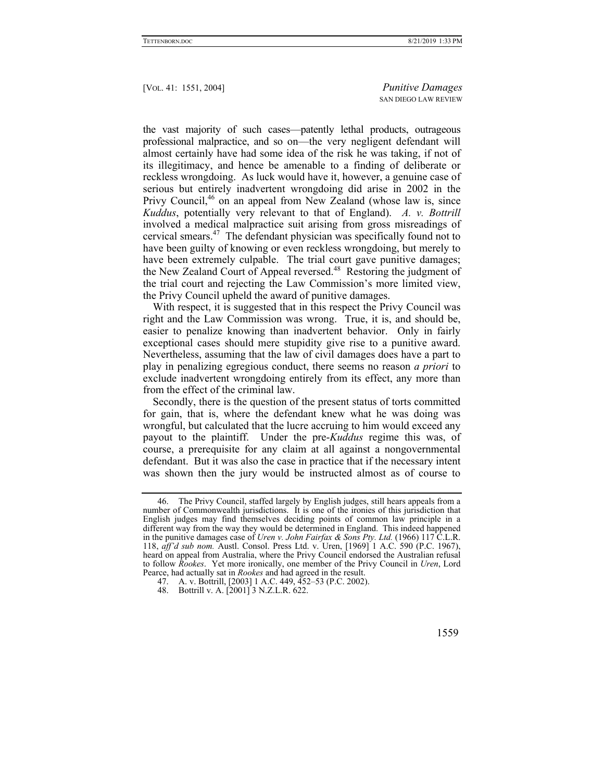the vast majority of such cases—patently lethal products, outrageous professional malpractice, and so on—the very negligent defendant will almost certainly have had some idea of the risk he was taking, if not of its illegitimacy, and hence be amenable to a finding of deliberate or reckless wrongdoing. As luck would have it, however, a genuine case of serious but entirely inadvertent wrongdoing did arise in 2002 in the Privy Council,<sup>46</sup> on an appeal from New Zealand (whose law is, since *Kuddus*, potentially very relevant to that of England). *A. v. Bottrill* involved a medical malpractice suit arising from gross misreadings of cervical smears.47 The defendant physician was specifically found not to have been guilty of knowing or even reckless wrongdoing, but merely to have been extremely culpable. The trial court gave punitive damages; the New Zealand Court of Appeal reversed.<sup>48</sup> Restoring the judgment of the trial court and rejecting the Law Commission's more limited view, the Privy Council upheld the award of punitive damages.

With respect, it is suggested that in this respect the Privy Council was right and the Law Commission was wrong. True, it is, and should be, easier to penalize knowing than inadvertent behavior. Only in fairly exceptional cases should mere stupidity give rise to a punitive award. Nevertheless, assuming that the law of civil damages does have a part to play in penalizing egregious conduct, there seems no reason *a priori* to exclude inadvertent wrongdoing entirely from its effect, any more than from the effect of the criminal law.

Secondly, there is the question of the present status of torts committed for gain, that is, where the defendant knew what he was doing was wrongful, but calculated that the lucre accruing to him would exceed any payout to the plaintiff. Under the pre-*Kuddus* regime this was, of course, a prerequisite for any claim at all against a nongovernmental defendant. But it was also the case in practice that if the necessary intent was shown then the jury would be instructed almost as of course to

 <sup>46.</sup> The Privy Council, staffed largely by English judges, still hears appeals from a number of Commonwealth jurisdictions. It is one of the ironies of this jurisdiction that English judges may find themselves deciding points of common law principle in a different way from the way they would be determined in England. This indeed happened in the punitive damages case of *Uren v. John Fairfax & Sons Pty. Ltd.* (1966) 117 C.L.R. 118, *aff'd sub nom.* Austl. Consol. Press Ltd. v. Uren, [1969] 1 A.C. 590 (P.C. 1967), heard on appeal from Australia, where the Privy Council endorsed the Australian refusal to follow *Rookes*. Yet more ironically, one member of the Privy Council in *Uren*, Lord Pearce, had actually sat in *Rookes* and had agreed in the result.

 <sup>47.</sup> A. v. Bottrill, [2003] 1 A.C. 449, 452–53 (P.C. 2002).

 <sup>48.</sup> Bottrill v. A. [2001] 3 N.Z.L.R. 622.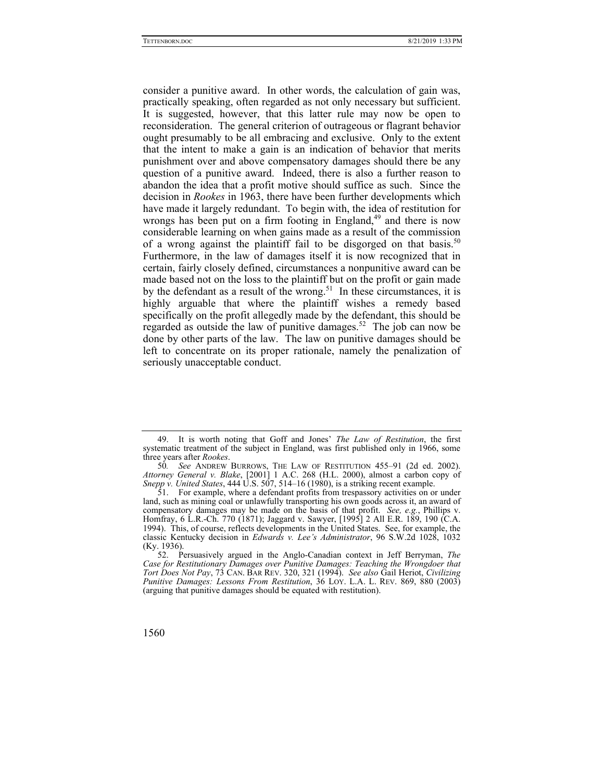consider a punitive award. In other words, the calculation of gain was, practically speaking, often regarded as not only necessary but sufficient. It is suggested, however, that this latter rule may now be open to reconsideration. The general criterion of outrageous or flagrant behavior ought presumably to be all embracing and exclusive. Only to the extent that the intent to make a gain is an indication of behavior that merits punishment over and above compensatory damages should there be any question of a punitive award. Indeed, there is also a further reason to abandon the idea that a profit motive should suffice as such. Since the decision in *Rookes* in 1963, there have been further developments which have made it largely redundant. To begin with, the idea of restitution for wrongs has been put on a firm footing in England, $49$  and there is now considerable learning on when gains made as a result of the commission of a wrong against the plaintiff fail to be disgorged on that basis.<sup>50</sup> Furthermore, in the law of damages itself it is now recognized that in certain, fairly closely defined, circumstances a nonpunitive award can be made based not on the loss to the plaintiff but on the profit or gain made by the defendant as a result of the wrong.<sup>51</sup> In these circumstances, it is highly arguable that where the plaintiff wishes a remedy based specifically on the profit allegedly made by the defendant, this should be regarded as outside the law of punitive damages.<sup>52</sup> The job can now be done by other parts of the law. The law on punitive damages should be left to concentrate on its proper rationale, namely the penalization of seriously unacceptable conduct.

 <sup>49.</sup> It is worth noting that Goff and Jones' *The Law of Restitution*, the first systematic treatment of the subject in England, was first published only in 1966, some three years after *Rookes*.

<sup>50</sup>*. See* ANDREW BURROWS, THE LAW OF RESTITUTION 455–91 (2d ed. 2002). *Attorney General v. Blake*, [2001] 1 A.C. 268 (H.L. 2000), almost a carbon copy of *Snepp v. United States*, 444 U.S. 507, 514–16 (1980), is a striking recent example.

 <sup>51.</sup> For example, where a defendant profits from trespassory activities on or under land, such as mining coal or unlawfully transporting his own goods across it, an award of compensatory damages may be made on the basis of that profit. *See, e.g.*, Phillips v. Homfray, 6 L.R.-Ch. 770 (1871); Jaggard v. Sawyer, [1995] 2 All E.R. 189, 190 (C.A. 1994). This, of course, reflects developments in the United States. See, for example, the classic Kentucky decision in *Edwards v. Lee's Administrator*, 96 S.W.2d 1028, 1032 (Ky. 1936).

 <sup>52.</sup> Persuasively argued in the Anglo-Canadian context in Jeff Berryman, *The Case for Restitutionary Damages over Punitive Damages: Teaching the Wrongdoer that Tort Does Not Pay*, 73 CAN. BAR REV. 320, 321 (1994). *See also* Gail Heriot, *Civilizing Punitive Damages: Lessons From Restitution*, 36 LOY. L.A. L. REV. 869, 880 (2003) (arguing that punitive damages should be equated with restitution).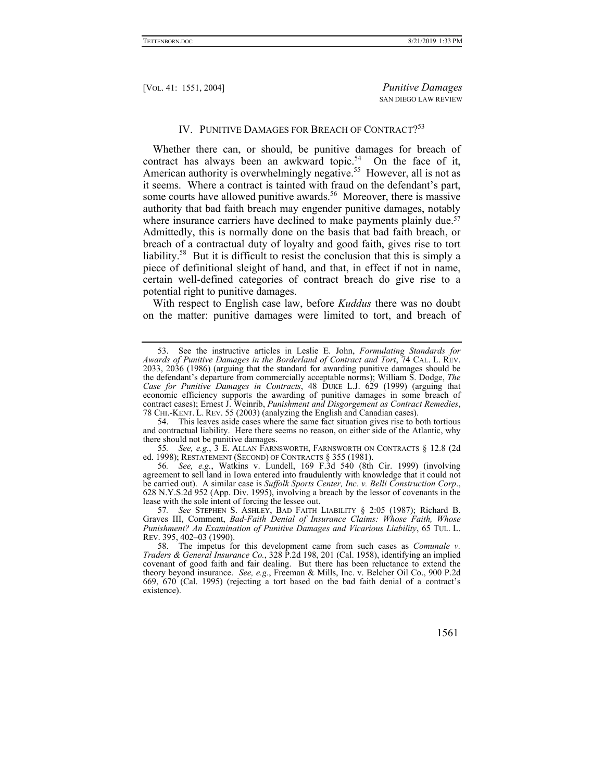# IV. PUNITIVE DAMAGES FOR BREACH OF CONTRACT?<sup>53</sup>

Whether there can, or should, be punitive damages for breach of contract has always been an awkward topic.<sup>54</sup> On the face of it, American authority is overwhelmingly negative.<sup>55</sup> However, all is not as it seems. Where a contract is tainted with fraud on the defendant's part, some courts have allowed punitive awards.<sup>56</sup> Moreover, there is massive authority that bad faith breach may engender punitive damages, notably where insurance carriers have declined to make payments plainly due.<sup>57</sup> Admittedly, this is normally done on the basis that bad faith breach, or breach of a contractual duty of loyalty and good faith, gives rise to tort liability.<sup>58</sup> But it is difficult to resist the conclusion that this is simply a piece of definitional sleight of hand, and that, in effect if not in name, certain well-defined categories of contract breach do give rise to a potential right to punitive damages.

With respect to English case law, before *Kuddus* there was no doubt on the matter: punitive damages were limited to tort, and breach of

55*. See, e.g.*, 3 E. ALLAN FARNSWORTH, FARNSWORTH ON CONTRACTS § 12.8 (2d ed. 1998); RESTATEMENT (SECOND) OF CONTRACTS § 355 (1981).

56*. See, e.g.*, Watkins v. Lundell, 169 F.3d 540 (8th Cir. 1999) (involving agreement to sell land in Iowa entered into fraudulently with knowledge that it could not be carried out). A similar case is *Suffolk Sports Center, Inc. v. Belli Construction Corp*., 628 N.Y.S.2d 952 (App. Div. 1995), involving a breach by the lessor of covenants in the lease with the sole intent of forcing the lessee out.

57*. See* STEPHEN S. ASHLEY, BAD FAITH LIABILITY § 2:05 (1987); Richard B. Graves III, Comment, *Bad-Faith Denial of Insurance Claims: Whose Faith, Whose Punishment? An Examination of Punitive Damages and Vicarious Liability*, 65 TUL. L. REV. 395, 402–03 (1990).

 <sup>53.</sup> See the instructive articles in Leslie E. John, *Formulating Standards for Awards of Punitive Damages in the Borderland of Contract and Tort*, 74 CAL. L. REV. 2033, 2036 (1986) (arguing that the standard for awarding punitive damages should be the defendant's departure from commercially acceptable norms); William S. Dodge, *The*  Case for Punitive Damages in Contracts, 48 DUKE L.J. 629 (1999) (arguing that economic efficiency supports the awarding of punitive damages in some breach of contract cases); Ernest J. Weinrib, *Punishment and Disgorgement as Contract Remedies*, 78 CHI.-KENT. L. REV. 55 (2003) (analyzing the English and Canadian cases).

 <sup>54.</sup> This leaves aside cases where the same fact situation gives rise to both tortious and contractual liability. Here there seems no reason, on either side of the Atlantic, why there should not be punitive damages.

 <sup>58.</sup> The impetus for this development came from such cases as *Comunale v. Traders & General Insurance Co.*, 328 P.2d 198, 201 (Cal. 1958), identifying an implied covenant of good faith and fair dealing. But there has been reluctance to extend the theory beyond insurance. *See, e.g.*, Freeman & Mills, Inc. v. Belcher Oil Co., 900 P.2d 669, 670 (Cal. 1995) (rejecting a tort based on the bad faith denial of a contract's existence).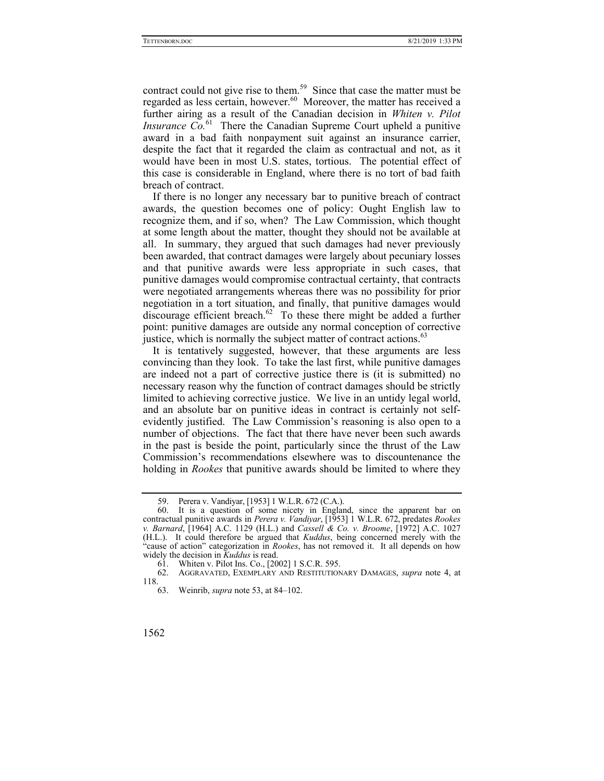contract could not give rise to them.<sup>59</sup> Since that case the matter must be regarded as less certain, however.<sup>60</sup> Moreover, the matter has received a further airing as a result of the Canadian decision in *Whiten v. Pilot Insurance*  $\overline{Co}^{61}$  There the Canadian Supreme Court upheld a punitive award in a bad faith nonpayment suit against an insurance carrier, despite the fact that it regarded the claim as contractual and not, as it would have been in most U.S. states, tortious. The potential effect of this case is considerable in England, where there is no tort of bad faith breach of contract.

If there is no longer any necessary bar to punitive breach of contract awards, the question becomes one of policy: Ought English law to recognize them, and if so, when? The Law Commission, which thought at some length about the matter, thought they should not be available at all. In summary, they argued that such damages had never previously been awarded, that contract damages were largely about pecuniary losses and that punitive awards were less appropriate in such cases, that punitive damages would compromise contractual certainty, that contracts were negotiated arrangements whereas there was no possibility for prior negotiation in a tort situation, and finally, that punitive damages would discourage efficient breach.<sup>62</sup> To these there might be added a further point: punitive damages are outside any normal conception of corrective justice, which is normally the subject matter of contract actions.<sup>63</sup>

It is tentatively suggested, however, that these arguments are less convincing than they look. To take the last first, while punitive damages are indeed not a part of corrective justice there is (it is submitted) no necessary reason why the function of contract damages should be strictly limited to achieving corrective justice. We live in an untidy legal world, and an absolute bar on punitive ideas in contract is certainly not selfevidently justified. The Law Commission's reasoning is also open to a number of objections. The fact that there have never been such awards in the past is beside the point, particularly since the thrust of the Law Commission's recommendations elsewhere was to discountenance the holding in *Rookes* that punitive awards should be limited to where they

 <sup>59.</sup> Perera v. Vandiyar, [1953] 1 W.L.R. 672 (C.A.).

 <sup>60.</sup> It is a question of some nicety in England, since the apparent bar on contractual punitive awards in *Perera v. Vandiyar*, [1953] 1 W.L.R. 672, predates *Rookes v. Barnard*, [1964] A.C. 1129 (H.L.) and *Cassell & Co. v. Broome*, [1972] A.C. 1027 (H.L.). It could therefore be argued that *Kuddus*, being concerned merely with the "cause of action" categorization in *Rookes*, has not removed it. It all depends on how widely the decision in *Kuddus* is read.

 <sup>61.</sup> Whiten v. Pilot Ins. Co., [2002] 1 S.C.R. 595.

 <sup>62.</sup> AGGRAVATED, EXEMPLARY AND RESTITUTIONARY DAMAGES, *supra* note 4, at 118.

 <sup>63.</sup> Weinrib, *supra* note 53, at 84–102.

<sup>1562</sup>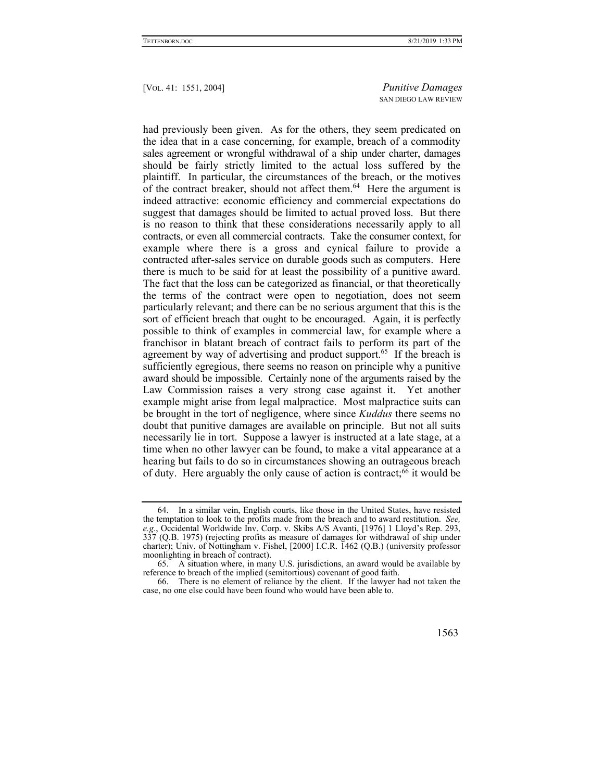had previously been given. As for the others, they seem predicated on the idea that in a case concerning, for example, breach of a commodity sales agreement or wrongful withdrawal of a ship under charter, damages should be fairly strictly limited to the actual loss suffered by the plaintiff. In particular, the circumstances of the breach, or the motives of the contract breaker, should not affect them.<sup>64</sup> Here the argument is indeed attractive: economic efficiency and commercial expectations do suggest that damages should be limited to actual proved loss. But there is no reason to think that these considerations necessarily apply to all contracts, or even all commercial contracts. Take the consumer context, for example where there is a gross and cynical failure to provide a contracted after-sales service on durable goods such as computers. Here there is much to be said for at least the possibility of a punitive award. The fact that the loss can be categorized as financial, or that theoretically the terms of the contract were open to negotiation, does not seem particularly relevant; and there can be no serious argument that this is the sort of efficient breach that ought to be encouraged. Again, it is perfectly possible to think of examples in commercial law, for example where a franchisor in blatant breach of contract fails to perform its part of the agreement by way of advertising and product support.<sup>65</sup> If the breach is sufficiently egregious, there seems no reason on principle why a punitive award should be impossible. Certainly none of the arguments raised by the Law Commission raises a very strong case against it. Yet another example might arise from legal malpractice. Most malpractice suits can be brought in the tort of negligence, where since *Kuddus* there seems no doubt that punitive damages are available on principle. But not all suits necessarily lie in tort. Suppose a lawyer is instructed at a late stage, at a time when no other lawyer can be found, to make a vital appearance at a hearing but fails to do so in circumstances showing an outrageous breach of duty. Here arguably the only cause of action is contract;<sup>66</sup> it would be

 <sup>66.</sup> There is no element of reliance by the client. If the lawyer had not taken the case, no one else could have been found who would have been able to.



 <sup>64.</sup> In a similar vein, English courts, like those in the United States, have resisted the temptation to look to the profits made from the breach and to award restitution. *See, e.g.*, Occidental Worldwide Inv. Corp. v. Skibs A/S Avanti, [1976] 1 Lloyd's Rep. 293, 337 (Q.B. 1975) (rejecting profits as measure of damages for withdrawal of ship under charter); Univ. of Nottingham v. Fishel, [2000] I.C.R. 1462 (Q.B.) (university professor moonlighting in breach of contract).

 <sup>65.</sup> A situation where, in many U.S. jurisdictions, an award would be available by reference to breach of the implied (semitortious) covenant of good faith.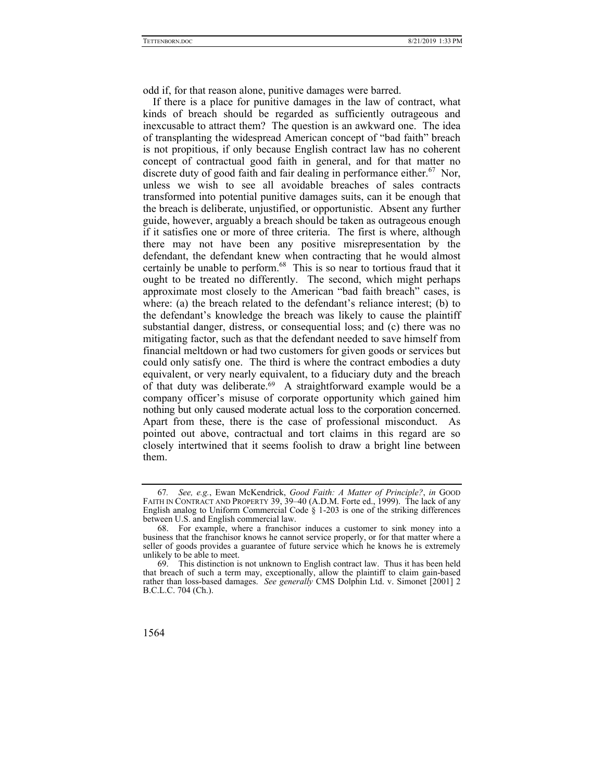odd if, for that reason alone, punitive damages were barred.

If there is a place for punitive damages in the law of contract, what kinds of breach should be regarded as sufficiently outrageous and inexcusable to attract them? The question is an awkward one. The idea of transplanting the widespread American concept of "bad faith" breach is not propitious, if only because English contract law has no coherent concept of contractual good faith in general, and for that matter no discrete duty of good faith and fair dealing in performance either.<sup>67</sup> Nor, unless we wish to see all avoidable breaches of sales contracts transformed into potential punitive damages suits, can it be enough that the breach is deliberate, unjustified, or opportunistic. Absent any further guide, however, arguably a breach should be taken as outrageous enough if it satisfies one or more of three criteria. The first is where, although there may not have been any positive misrepresentation by the defendant, the defendant knew when contracting that he would almost certainly be unable to perform.<sup>68</sup> This is so near to tortious fraud that it ought to be treated no differently. The second, which might perhaps approximate most closely to the American "bad faith breach" cases, is where: (a) the breach related to the defendant's reliance interest; (b) to the defendant's knowledge the breach was likely to cause the plaintiff substantial danger, distress, or consequential loss; and (c) there was no mitigating factor, such as that the defendant needed to save himself from financial meltdown or had two customers for given goods or services but could only satisfy one. The third is where the contract embodies a duty equivalent, or very nearly equivalent, to a fiduciary duty and the breach of that duty was deliberate.69 A straightforward example would be a company officer's misuse of corporate opportunity which gained him nothing but only caused moderate actual loss to the corporation concerned. Apart from these, there is the case of professional misconduct. As pointed out above, contractual and tort claims in this regard are so closely intertwined that it seems foolish to draw a bright line between them.

<sup>67</sup>*. See, e.g.*, Ewan McKendrick, *Good Faith: A Matter of Principle?*, *in* GOOD FAITH IN CONTRACT AND PROPERTY 39, 39–40 (A.D.M. Forte ed., 1999). The lack of any English analog to Uniform Commercial Code § 1-203 is one of the striking differences between U.S. and English commercial law.

 <sup>68.</sup> For example, where a franchisor induces a customer to sink money into a business that the franchisor knows he cannot service properly, or for that matter where a seller of goods provides a guarantee of future service which he knows he is extremely unlikely to be able to meet.

 <sup>69.</sup> This distinction is not unknown to English contract law. Thus it has been held that breach of such a term may, exceptionally, allow the plaintiff to claim gain-based rather than loss-based damages. *See generally* CMS Dolphin Ltd. v. Simonet [2001] 2 B.C.L.C. 704 (Ch.).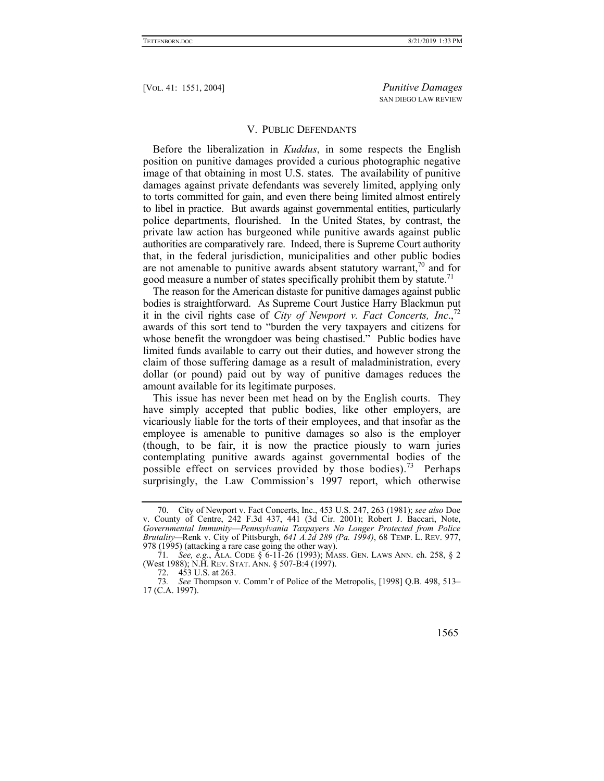## V. PUBLIC DEFENDANTS

Before the liberalization in *Kuddus*, in some respects the English position on punitive damages provided a curious photographic negative image of that obtaining in most U.S. states. The availability of punitive damages against private defendants was severely limited, applying only to torts committed for gain, and even there being limited almost entirely to libel in practice. But awards against governmental entities, particularly police departments, flourished. In the United States, by contrast, the private law action has burgeoned while punitive awards against public authorities are comparatively rare. Indeed, there is Supreme Court authority that, in the federal jurisdiction, municipalities and other public bodies are not amenable to punitive awards absent statutory warrant, $\frac{70}{10}$  and for good measure a number of states specifically prohibit them by statute.<sup>71</sup>

The reason for the American distaste for punitive damages against public bodies is straightforward. As Supreme Court Justice Harry Blackmun put it in the civil rights case of *City of Newport v. Fact Concerts, Inc*.,72 awards of this sort tend to "burden the very taxpayers and citizens for whose benefit the wrongdoer was being chastised." Public bodies have limited funds available to carry out their duties, and however strong the claim of those suffering damage as a result of maladministration, every dollar (or pound) paid out by way of punitive damages reduces the amount available for its legitimate purposes.

This issue has never been met head on by the English courts. They have simply accepted that public bodies, like other employers, are vicariously liable for the torts of their employees, and that insofar as the employee is amenable to punitive damages so also is the employer (though, to be fair, it is now the practice piously to warn juries contemplating punitive awards against governmental bodies of the possible effect on services provided by those bodies).<sup>73</sup> Perhaps surprisingly, the Law Commission's 1997 report, which otherwise

<sup>73</sup>*. See* Thompson v. Comm'r of Police of the Metropolis, [1998] Q.B. 498, 513– 17 (C.A. 1997).



 <sup>70.</sup> City of Newport v. Fact Concerts, Inc., 453 U.S. 247, 263 (1981); *see also* Doe v. County of Centre, 242 F.3d 437, 441 (3d Cir. 2001); Robert J. Baccari, Note, *Governmental Immunity*—*Pennsylvania Taxpayers No Longer Protected from Police Brutality—*Renk v. City of Pittsburgh, *641 A.2d 289 (Pa. 1994)*, 68 TEMP. L. REV. 977, 978 (1995) (attacking a rare case going the other way).

<sup>71</sup>*. See, e.g.*, ALA. CODE § 6-11-26 (1993); MASS. GEN. LAWS ANN. ch. 258, § 2 (West 1988); N.H. REV. STAT. ANN. § 507-B:4 (1997).

 <sup>72. 453</sup> U.S. at 263.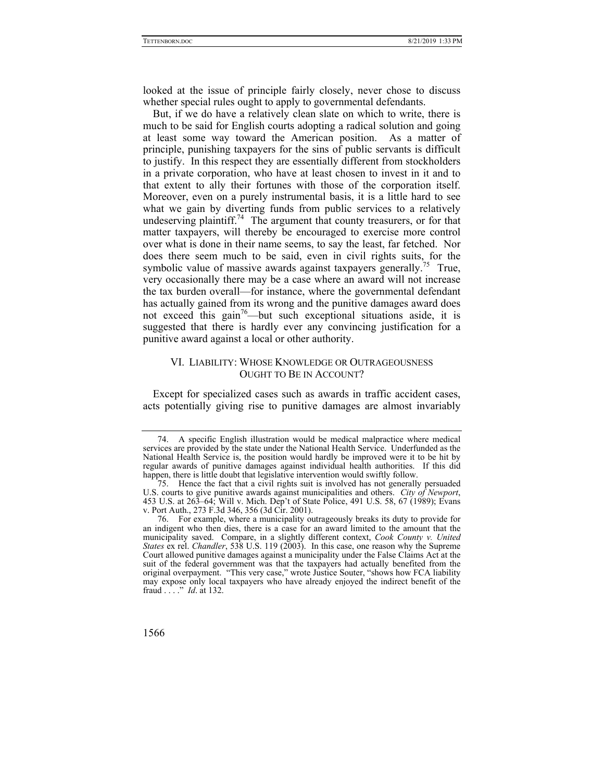looked at the issue of principle fairly closely, never chose to discuss whether special rules ought to apply to governmental defendants.

But, if we do have a relatively clean slate on which to write, there is much to be said for English courts adopting a radical solution and going at least some way toward the American position. As a matter of principle, punishing taxpayers for the sins of public servants is difficult to justify. In this respect they are essentially different from stockholders in a private corporation, who have at least chosen to invest in it and to that extent to ally their fortunes with those of the corporation itself. Moreover, even on a purely instrumental basis, it is a little hard to see what we gain by diverting funds from public services to a relatively undeserving plaintiff.<sup>74</sup> The argument that county treasurers, or for that matter taxpayers, will thereby be encouraged to exercise more control over what is done in their name seems, to say the least, far fetched. Nor does there seem much to be said, even in civil rights suits, for the symbolic value of massive awards against taxpayers generally.<sup>75</sup> True, very occasionally there may be a case where an award will not increase the tax burden overall—for instance, where the governmental defendant has actually gained from its wrong and the punitive damages award does not exceed this gain<sup>76</sup>—but such exceptional situations aside, it is suggested that there is hardly ever any convincing justification for a punitive award against a local or other authority.

# VI. LIABILITY: WHOSE KNOWLEDGE OR OUTRAGEOUSNESS OUGHT TO BE IN ACCOUNT?

Except for specialized cases such as awards in traffic accident cases, acts potentially giving rise to punitive damages are almost invariably

 <sup>74.</sup> A specific English illustration would be medical malpractice where medical services are provided by the state under the National Health Service. Underfunded as the National Health Service is, the position would hardly be improved were it to be hit by regular awards of punitive damages against individual health authorities. If this did happen, there is little doubt that legislative intervention would swiftly follow.

 <sup>75.</sup> Hence the fact that a civil rights suit is involved has not generally persuaded U.S. courts to give punitive awards against municipalities and others. *City of Newport*, 453 U.S. at 263–64; Will v. Mich. Dep't of State Police, 491 U.S. 58, 67 (1989); Evans v. Port Auth., 273 F.3d 346, 356 (3d Cir. 2001).

 <sup>76.</sup> For example, where a municipality outrageously breaks its duty to provide for an indigent who then dies, there is a case for an award limited to the amount that the municipality saved. Compare, in a slightly different context, *Cook County v. United States* ex rel. *Chandler*, 538 U.S. 119 (2003). In this case, one reason why the Supreme Court allowed punitive damages against a municipality under the False Claims Act at the suit of the federal government was that the taxpayers had actually benefited from the original overpayment. "This very case," wrote Justice Souter, "shows how FCA liability may expose only local taxpayers who have already enjoyed the indirect benefit of the fraud . . . ." *Id*. at 132.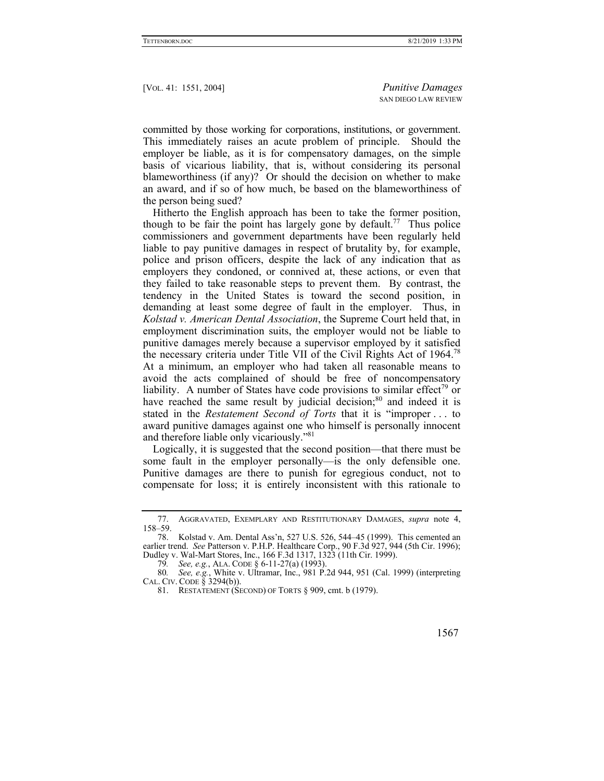committed by those working for corporations, institutions, or government. This immediately raises an acute problem of principle. Should the employer be liable, as it is for compensatory damages, on the simple basis of vicarious liability, that is, without considering its personal blameworthiness (if any)? Or should the decision on whether to make an award, and if so of how much, be based on the blameworthiness of the person being sued?

Hitherto the English approach has been to take the former position, though to be fair the point has largely gone by default.<sup>77</sup> Thus police commissioners and government departments have been regularly held liable to pay punitive damages in respect of brutality by, for example, police and prison officers, despite the lack of any indication that as employers they condoned, or connived at, these actions, or even that they failed to take reasonable steps to prevent them. By contrast, the tendency in the United States is toward the second position, in demanding at least some degree of fault in the employer. Thus, in *Kolstad v. American Dental Association*, the Supreme Court held that, in employment discrimination suits, the employer would not be liable to punitive damages merely because a supervisor employed by it satisfied the necessary criteria under Title VII of the Civil Rights Act of 1964.<sup>78</sup> At a minimum, an employer who had taken all reasonable means to avoid the acts complained of should be free of noncompensatory liability. A number of States have code provisions to similar effect<sup>79</sup> or have reached the same result by judicial decision; $80$  and indeed it is stated in the *Restatement Second of Torts* that it is "improper . . . to award punitive damages against one who himself is personally innocent and therefore liable only vicariously."<sup>81</sup>

Logically, it is suggested that the second position—that there must be some fault in the employer personally—is the only defensible one. Punitive damages are there to punish for egregious conduct, not to compensate for loss; it is entirely inconsistent with this rationale to

 <sup>77.</sup> AGGRAVATED, EXEMPLARY AND RESTITUTIONARY DAMAGES, *supra* note 4, 158–59.

 <sup>78.</sup> Kolstad v. Am. Dental Ass'n, 527 U.S. 526, 544–45 (1999). This cemented an earlier trend. *See* Patterson v. P.H.P. Healthcare Corp., 90 F.3d 927, 944 (5th Cir. 1996); Dudley v. Wal-Mart Stores, Inc., 166 F.3d 1317, 1323 (11th Cir. 1999).

<sup>79</sup>*. See, e.g.*, ALA. CODE § 6-11-27(a) (1993).

<sup>80</sup>*. See, e.g.*, White v. Ultramar, Inc., 981 P.2d 944, 951 (Cal. 1999) (interpreting CAL. CIV. CODE  $\overline{\S}$  3294(b)).

 <sup>81.</sup> RESTATEMENT (SECOND) OF TORTS § 909, cmt. b (1979).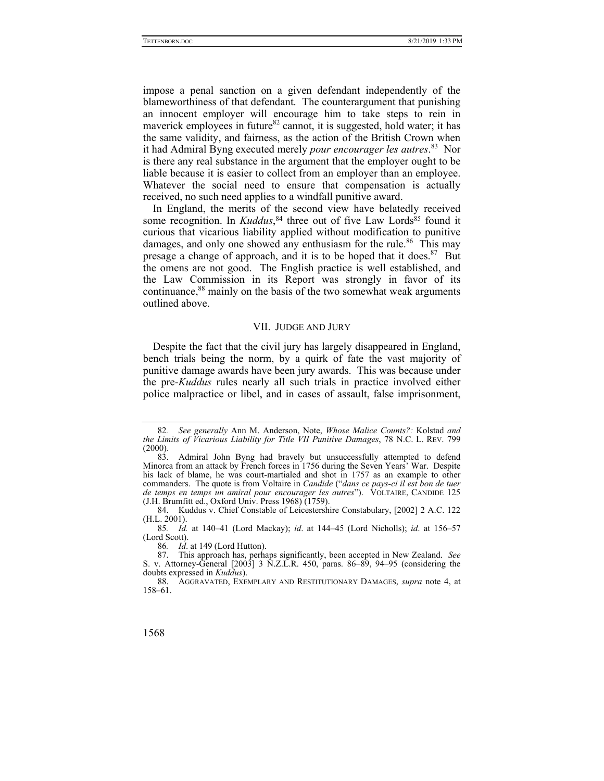impose a penal sanction on a given defendant independently of the blameworthiness of that defendant. The counterargument that punishing an innocent employer will encourage him to take steps to rein in maverick employees in future<sup>82</sup> cannot, it is suggested, hold water; it has the same validity, and fairness, as the action of the British Crown when it had Admiral Byng executed merely *pour encourager les autres*. 83 Nor is there any real substance in the argument that the employer ought to be liable because it is easier to collect from an employer than an employee. Whatever the social need to ensure that compensation is actually received, no such need applies to a windfall punitive award.

In England, the merits of the second view have belatedly received some recognition. In *Kuddus*,<sup>84</sup> three out of five Law Lords<sup>85</sup> found it curious that vicarious liability applied without modification to punitive damages, and only one showed any enthusiasm for the rule.<sup>86</sup> This may presage a change of approach, and it is to be hoped that it does.<sup>87</sup> But the omens are not good. The English practice is well established, and the Law Commission in its Report was strongly in favor of its continuance,<sup>88</sup> mainly on the basis of the two somewhat weak arguments outlined above.

#### VII. JUDGE AND JURY

Despite the fact that the civil jury has largely disappeared in England, bench trials being the norm, by a quirk of fate the vast majority of punitive damage awards have been jury awards. This was because under the pre-*Kuddus* rules nearly all such trials in practice involved either police malpractice or libel, and in cases of assault, false imprisonment,

<sup>82</sup>*. See generally* Ann M. Anderson, Note, *Whose Malice Counts?:* Kolstad *and the Limits of Vicarious Liability for Title VII Punitive Damages*, 78 N.C. L. REV. 799 (2000).

 <sup>83.</sup> Admiral John Byng had bravely but unsuccessfully attempted to defend Minorca from an attack by French forces in 1756 during the Seven Years' War. Despite his lack of blame, he was court-martialed and shot in 1757 as an example to other commanders. The quote is from Voltaire in *Candide* ("*dans ce pays-ci il est bon de tuer de temps en temps un amiral pour encourager les autres*"). VOLTAIRE, CANDIDE 125 (J.H. Brumfitt ed., Oxford Univ. Press 1968) (1759).

 <sup>84.</sup> Kuddus v. Chief Constable of Leicestershire Constabulary, [2002] 2 A.C. 122 (H.L. 2001).

<sup>85</sup>*. Id.* at 140–41 (Lord Mackay); *id*. at 144–45 (Lord Nicholls); *id*. at 156–57 (Lord Scott).

<sup>86</sup>*. Id*. at 149 (Lord Hutton).

 <sup>87.</sup> This approach has, perhaps significantly, been accepted in New Zealand. *See*  S. v. Attorney-General [2003] 3 N.Z.L.R. 450, paras. 86–89, 94–95 (considering the doubts expressed in *Kuddus*).

 <sup>88.</sup> AGGRAVATED, EXEMPLARY AND RESTITUTIONARY DAMAGES, *supra* note 4, at 158–61.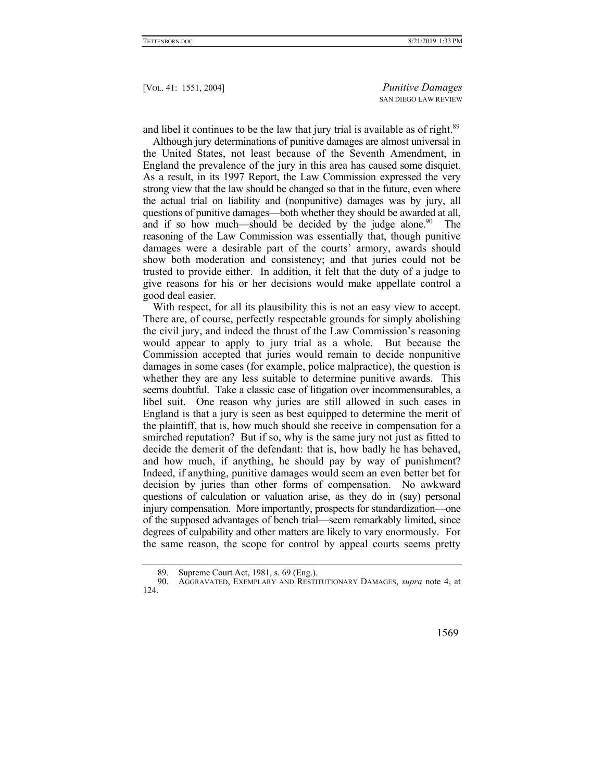and libel it continues to be the law that jury trial is available as of right.<sup>89</sup>

Although jury determinations of punitive damages are almost universal in the United States, not least because of the Seventh Amendment, in England the prevalence of the jury in this area has caused some disquiet. As a result, in its 1997 Report, the Law Commission expressed the very strong view that the law should be changed so that in the future, even where the actual trial on liability and (nonpunitive) damages was by jury, all questions of punitive damages—both whether they should be awarded at all, and if so how much—should be decided by the judge alone.<sup>90</sup> The reasoning of the Law Commission was essentially that, though punitive damages were a desirable part of the courts' armory, awards should show both moderation and consistency; and that juries could not be trusted to provide either. In addition, it felt that the duty of a judge to give reasons for his or her decisions would make appellate control a good deal easier.

With respect, for all its plausibility this is not an easy view to accept. There are, of course, perfectly respectable grounds for simply abolishing the civil jury, and indeed the thrust of the Law Commission's reasoning would appear to apply to jury trial as a whole. But because the Commission accepted that juries would remain to decide nonpunitive damages in some cases (for example, police malpractice), the question is whether they are any less suitable to determine punitive awards. This seems doubtful. Take a classic case of litigation over incommensurables, a libel suit. One reason why juries are still allowed in such cases in England is that a jury is seen as best equipped to determine the merit of the plaintiff, that is, how much should she receive in compensation for a smirched reputation? But if so, why is the same jury not just as fitted to decide the demerit of the defendant: that is, how badly he has behaved, and how much, if anything, he should pay by way of punishment? Indeed, if anything, punitive damages would seem an even better bet for decision by juries than other forms of compensation. No awkward questions of calculation or valuation arise, as they do in (say) personal injury compensation. More importantly, prospects for standardization—one of the supposed advantages of bench trial—seem remarkably limited, since degrees of culpability and other matters are likely to vary enormously. For the same reason, the scope for control by appeal courts seems pretty

 <sup>90.</sup> AGGRAVATED, EXEMPLARY AND RESTITUTIONARY DAMAGES, *supra* note 4, at 124.



 <sup>89.</sup> Supreme Court Act, 1981, s. 69 (Eng.).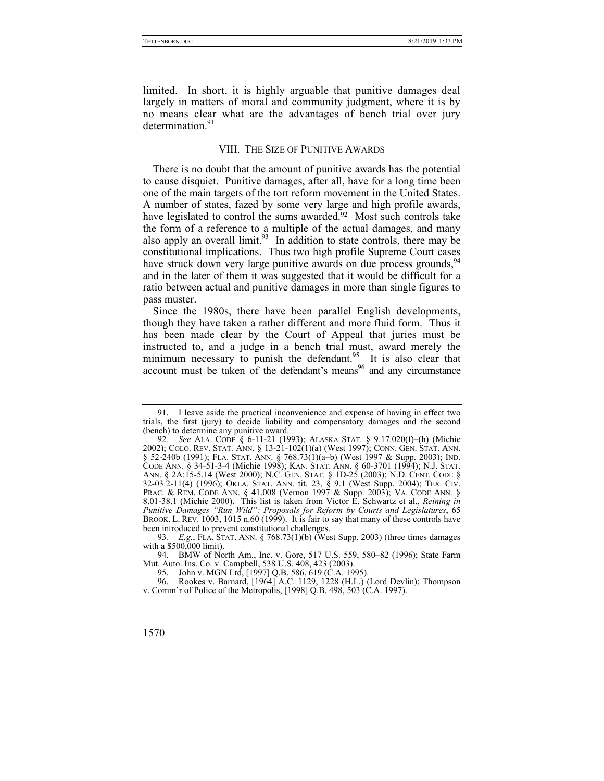limited. In short, it is highly arguable that punitive damages deal largely in matters of moral and community judgment, where it is by no means clear what are the advantages of bench trial over jury determination.<sup>91</sup>

# VIII. THE SIZE OF PUNITIVE AWARDS

There is no doubt that the amount of punitive awards has the potential to cause disquiet. Punitive damages, after all, have for a long time been one of the main targets of the tort reform movement in the United States. A number of states, fazed by some very large and high profile awards, have legislated to control the sums awarded.<sup>92</sup> Most such controls take the form of a reference to a multiple of the actual damages, and many also apply an overall limit.<sup>93</sup> In addition to state controls, there may be constitutional implications. Thus two high profile Supreme Court cases have struck down very large punitive awards on due process grounds,  $94$ and in the later of them it was suggested that it would be difficult for a ratio between actual and punitive damages in more than single figures to pass muster.

Since the 1980s, there have been parallel English developments, though they have taken a rather different and more fluid form. Thus it has been made clear by the Court of Appeal that juries must be instructed to, and a judge in a bench trial must, award merely the minimum necessary to punish the defendant.<sup>95</sup> It is also clear that account must be taken of the defendant's means  $96$  and any circumstance

 <sup>91.</sup> I leave aside the practical inconvenience and expense of having in effect two trials, the first (jury) to decide liability and compensatory damages and the second (bench) to determine any punitive award.

<sup>92</sup>*. See* ALA. CODE § 6-11-21 (1993); ALASKA STAT. § 9.17.020(f)–(h) (Michie 2002); COLO. REV. STAT. ANN. § 13-21-102(1)(a) (West 1997); CONN. GEN. STAT. ANN. § 52-240b (1991); FLA. STAT. ANN. § 768.73(1)(a–b) (West 1997 & Supp. 2003); IND. CODE ANN. § 34-51-3-4 (Michie 1998); KAN. STAT. ANN. § 60-3701 (1994); N.J. STAT. ANN. § 2A:15-5.14 (West 2000); N.C. GEN. STAT. § 1D-25 (2003); N.D. CENT. CODE § 32-03.2-11(4) (1996); OKLA. STAT. ANN. tit. 23, § 9.1 (West Supp. 2004); TEX. CIV. PRAC. & REM. CODE ANN. § 41.008 (Vernon 1997 & Supp. 2003); VA. CODE ANN. § 8.01-38.1 (Michie 2000). This list is taken from Victor E. Schwartz et al., *Reining in Punitive Damages "Run Wild": Proposals for Reform by Courts and Legislatures*, 65 BROOK. L. REV. 1003, 1015 n.60 (1999). It is fair to say that many of these controls have been introduced to prevent constitutional challenges.

<sup>93</sup>*. E.g.*, FLA. STAT. ANN. § 768.73(1)(b) (West Supp. 2003) (three times damages with a \$500,000 limit).

 <sup>94.</sup> BMW of North Am., Inc. v. Gore, 517 U.S. 559, 580–82 (1996); State Farm Mut. Auto. Ins. Co. v. Campbell, 538 U.S. 408, 423 (2003).

 <sup>95.</sup> John v. MGN Ltd, [1997] Q.B. 586, 619 (C.A. 1995).

 <sup>96.</sup> Rookes v. Barnard, [1964] A.C. 1129, 1228 (H.L.) (Lord Devlin); Thompson v. Comm'r of Police of the Metropolis, [1998] Q.B. 498, 503 (C.A. 1997).

<sup>1570</sup>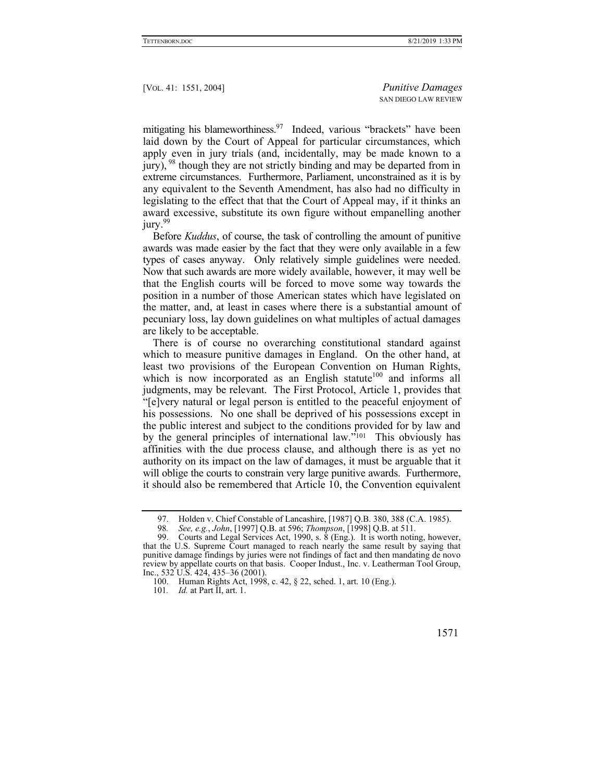mitigating his blameworthiness.  $97$  Indeed, various "brackets" have been laid down by the Court of Appeal for particular circumstances, which apply even in jury trials (and, incidentally, may be made known to a jury), <sup>98</sup> though they are not strictly binding and may be departed from in extreme circumstances. Furthermore, Parliament, unconstrained as it is by any equivalent to the Seventh Amendment, has also had no difficulty in legislating to the effect that that the Court of Appeal may, if it thinks an award excessive, substitute its own figure without empanelling another jury.<sup>99</sup>

Before *Kuddus*, of course, the task of controlling the amount of punitive awards was made easier by the fact that they were only available in a few types of cases anyway. Only relatively simple guidelines were needed. Now that such awards are more widely available, however, it may well be that the English courts will be forced to move some way towards the position in a number of those American states which have legislated on the matter, and, at least in cases where there is a substantial amount of pecuniary loss, lay down guidelines on what multiples of actual damages are likely to be acceptable.

There is of course no overarching constitutional standard against which to measure punitive damages in England. On the other hand, at least two provisions of the European Convention on Human Rights, which is now incorporated as an English statute<sup>100</sup> and informs all judgments, may be relevant. The First Protocol, Article 1, provides that "[e]very natural or legal person is entitled to the peaceful enjoyment of his possessions. No one shall be deprived of his possessions except in the public interest and subject to the conditions provided for by law and by the general principles of international law."101 This obviously has affinities with the due process clause, and although there is as yet no authority on its impact on the law of damages, it must be arguable that it will oblige the courts to constrain very large punitive awards. Furthermore, it should also be remembered that Article 10, the Convention equivalent

101*. Id.* at Part II, art. 1.

<sup>97.</sup> Holden v. Chief Constable of Lancashire,  $[1987]$  Q.B. 380, 388 (C.A. 1985).<br>98. See e.g. John [1997] O.B. at 596; Thompson [1998] O.B. at 511

<sup>98</sup>*. See, e.g.*, *John*, [1997] Q.B. at 596; *Thompson*, [1998] Q.B. at 511.

 <sup>99.</sup> Courts and Legal Services Act, 1990, s. 8 (Eng.). It is worth noting, however, that the U.S. Supreme Court managed to reach nearly the same result by saying that punitive damage findings by juries were not findings of fact and then mandating de novo review by appellate courts on that basis. Cooper Indust., Inc. v. Leatherman Tool Group, Inc., 532 U.S. 424, 435–36 (2001).

 <sup>100.</sup> Human Rights Act, 1998, c. 42, § 22, sched. 1, art. 10 (Eng.).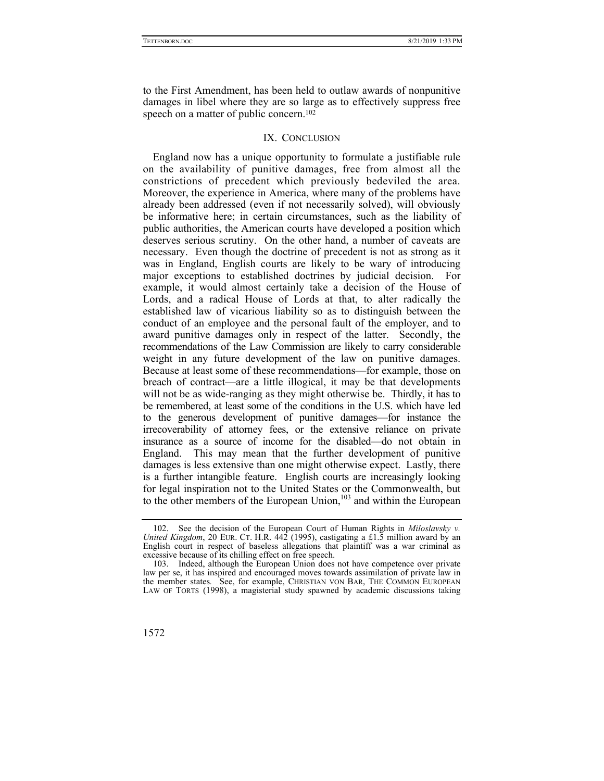to the First Amendment, has been held to outlaw awards of nonpunitive damages in libel where they are so large as to effectively suppress free speech on a matter of public concern.<sup>102</sup>

# IX. CONCLUSION

England now has a unique opportunity to formulate a justifiable rule on the availability of punitive damages, free from almost all the constrictions of precedent which previously bedeviled the area. Moreover, the experience in America, where many of the problems have already been addressed (even if not necessarily solved), will obviously be informative here; in certain circumstances, such as the liability of public authorities, the American courts have developed a position which deserves serious scrutiny. On the other hand, a number of caveats are necessary. Even though the doctrine of precedent is not as strong as it was in England, English courts are likely to be wary of introducing major exceptions to established doctrines by judicial decision. For example, it would almost certainly take a decision of the House of Lords, and a radical House of Lords at that, to alter radically the established law of vicarious liability so as to distinguish between the conduct of an employee and the personal fault of the employer, and to award punitive damages only in respect of the latter. Secondly, the recommendations of the Law Commission are likely to carry considerable weight in any future development of the law on punitive damages. Because at least some of these recommendations—for example, those on breach of contract—are a little illogical, it may be that developments will not be as wide-ranging as they might otherwise be. Thirdly, it has to be remembered, at least some of the conditions in the U.S. which have led to the generous development of punitive damages—for instance the irrecoverability of attorney fees, or the extensive reliance on private insurance as a source of income for the disabled—do not obtain in England. This may mean that the further development of punitive damages is less extensive than one might otherwise expect. Lastly, there is a further intangible feature. English courts are increasingly looking for legal inspiration not to the United States or the Commonwealth, but to the other members of the European Union,<sup>103</sup> and within the European

 <sup>103.</sup> Indeed, although the European Union does not have competence over private law per se, it has inspired and encouraged moves towards assimilation of private law in the member states*.* See, for example, CHRISTIAN VON BAR, THE COMMON EUROPEAN LAW OF TORTS (1998), a magisterial study spawned by academic discussions taking



 <sup>102.</sup> See the decision of the European Court of Human Rights in *Miloslavsky v. United Kingdom*, 20 EUR. CT. H.R. 442 (1995), castigating a £1.5 million award by an English court in respect of baseless allegations that plaintiff was a war criminal as excessive because of its chilling effect on free speech.